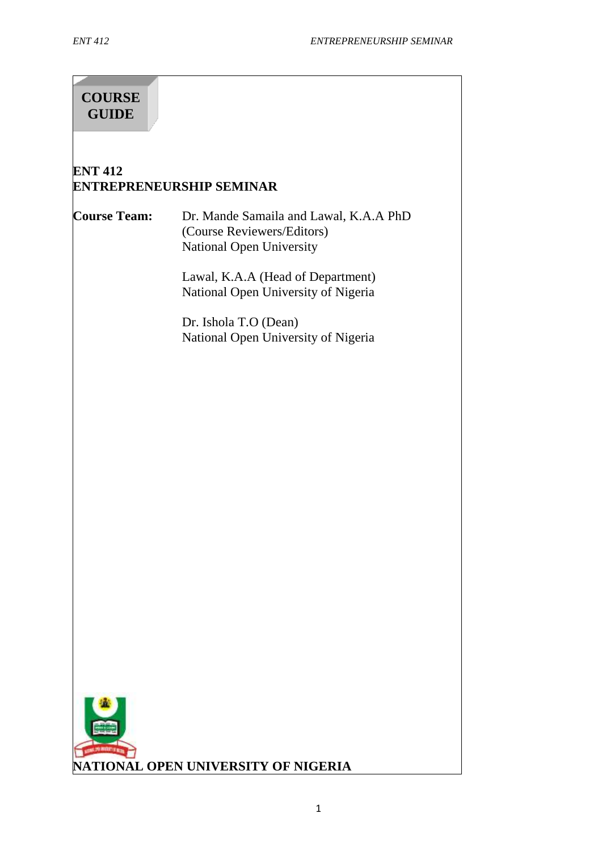# **COURSE GUIDE**

### **ENT 412 ENTREPRENEURSHIP SEMINAR**

#### **Course Team:** Dr. Mande Samaila and Lawal, K.A.A PhD (Course Reviewers/Editors) National Open University

Lawal, K.A.A (Head of Department) National Open University of Nigeria

Dr. Ishola T.O (Dean) National Open University of Nigeria

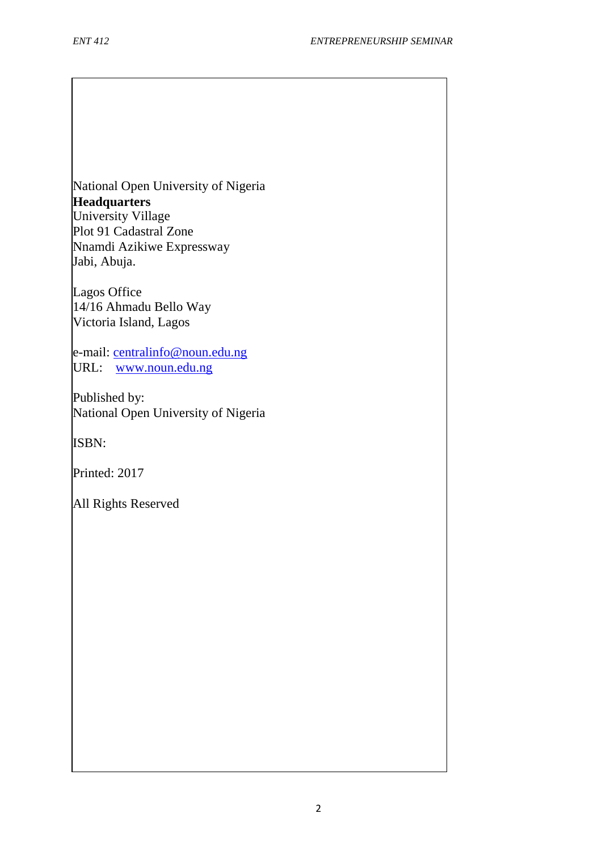National Open University of Nigeria **Headquarters** University Village Plot 91 Cadastral Zone Nnamdi Azikiwe Expressway Jabi, Abuja.

Lagos Office 14/16 Ahmadu Bello Way Victoria Island, Lagos

e-mail: [centralinfo@noun.edu.ng](mailto:centralinfo@noun.edu.ng) URL: [www.noun.edu.ng](http://www.noun.edu.ng/)

Published by: National Open University of Nigeria

ISBN:

Printed: 2017

All Rights Reserved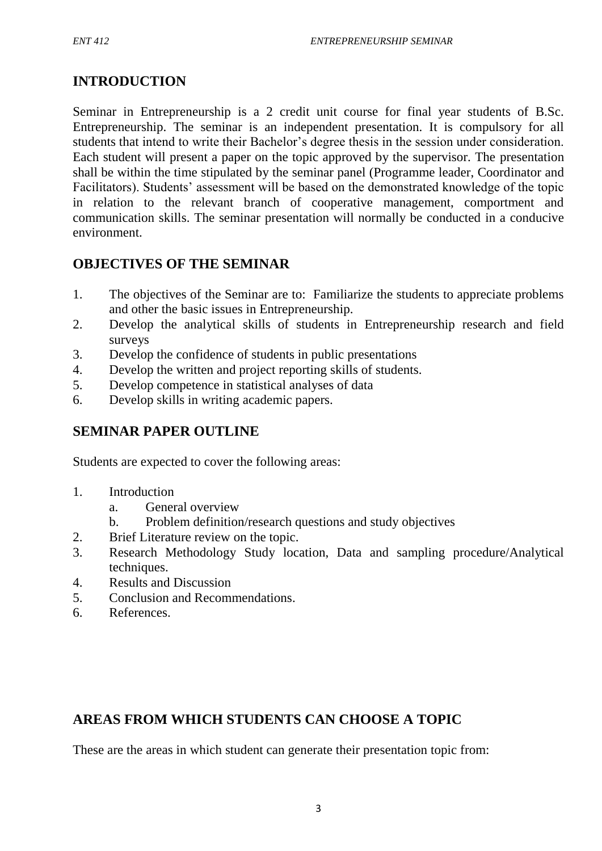## **INTRODUCTION**

Seminar in Entrepreneurship is a 2 credit unit course for final year students of B.Sc. Entrepreneurship. The seminar is an independent presentation. It is compulsory for all students that intend to write their Bachelor's degree thesis in the session under consideration. Each student will present a paper on the topic approved by the supervisor. The presentation shall be within the time stipulated by the seminar panel (Programme leader, Coordinator and Facilitators). Students' assessment will be based on the demonstrated knowledge of the topic in relation to the relevant branch of cooperative management, comportment and communication skills. The seminar presentation will normally be conducted in a conducive environment.

### **OBJECTIVES OF THE SEMINAR**

- 1. The objectives of the Seminar are to: Familiarize the students to appreciate problems and other the basic issues in Entrepreneurship.
- 2. Develop the analytical skills of students in Entrepreneurship research and field surveys
- 3. Develop the confidence of students in public presentations
- 4. Develop the written and project reporting skills of students.
- 5. Develop competence in statistical analyses of data
- 6. Develop skills in writing academic papers.

### **SEMINAR PAPER OUTLINE**

Students are expected to cover the following areas:

- 1. Introduction
	- a. General overview
	- b. Problem definition/research questions and study objectives
- 2. Brief Literature review on the topic.
- 3. Research Methodology Study location, Data and sampling procedure/Analytical techniques.
- 4. Results and Discussion
- 5. Conclusion and Recommendations.
- 6. References.

### **AREAS FROM WHICH STUDENTS CAN CHOOSE A TOPIC**

These are the areas in which student can generate their presentation topic from: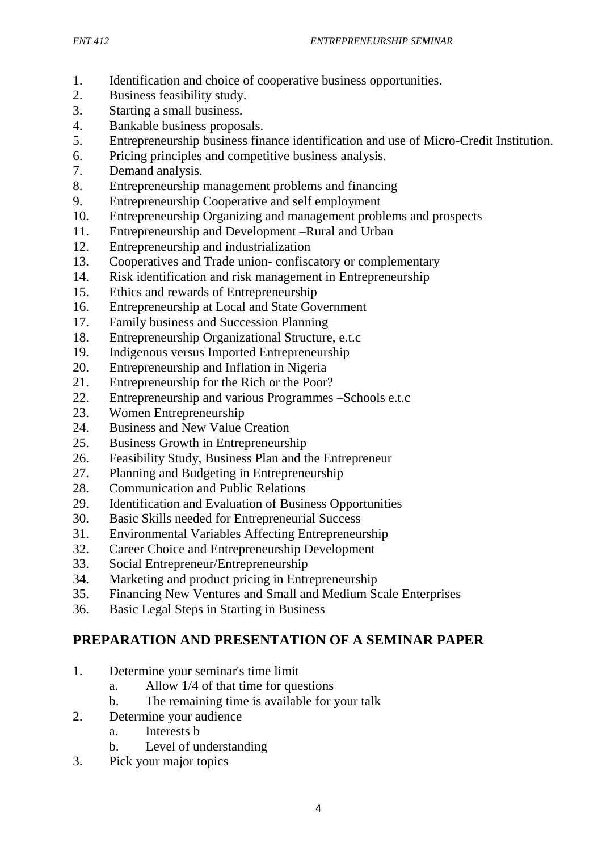- 1. Identification and choice of cooperative business opportunities.
- 2. Business feasibility study.
- 3. Starting a small business.
- 4. Bankable business proposals.
- 5. Entrepreneurship business finance identification and use of Micro-Credit Institution.
- 6. Pricing principles and competitive business analysis.
- 7. Demand analysis.
- 8. Entrepreneurship management problems and financing
- 9. Entrepreneurship Cooperative and self employment
- 10. Entrepreneurship Organizing and management problems and prospects
- 11. Entrepreneurship and Development –Rural and Urban
- 12. Entrepreneurship and industrialization
- 13. Cooperatives and Trade union- confiscatory or complementary
- 14. Risk identification and risk management in Entrepreneurship
- 15. Ethics and rewards of Entrepreneurship
- 16. Entrepreneurship at Local and State Government
- 17. Family business and Succession Planning
- 18. Entrepreneurship Organizational Structure, e.t.c
- 19. Indigenous versus Imported Entrepreneurship
- 20. Entrepreneurship and Inflation in Nigeria
- 21. Entrepreneurship for the Rich or the Poor?
- 22. Entrepreneurship and various Programmes –Schools e.t.c
- 23. Women Entrepreneurship
- 24. Business and New Value Creation
- 25. Business Growth in Entrepreneurship
- 26. Feasibility Study, Business Plan and the Entrepreneur
- 27. Planning and Budgeting in Entrepreneurship
- 28. Communication and Public Relations
- 29. Identification and Evaluation of Business Opportunities
- 30. Basic Skills needed for Entrepreneurial Success
- 31. Environmental Variables Affecting Entrepreneurship
- 32. Career Choice and Entrepreneurship Development
- 33. Social Entrepreneur/Entrepreneurship
- 34. Marketing and product pricing in Entrepreneurship
- 35. Financing New Ventures and Small and Medium Scale Enterprises
- 36. Basic Legal Steps in Starting in Business

# **PREPARATION AND PRESENTATION OF A SEMINAR PAPER**

- 1. Determine your seminar's time limit
	- a. Allow 1/4 of that time for questions
	- b. The remaining time is available for your talk
- 2. Determine your audience
	- a. Interests b
	- b. Level of understanding
- 3. Pick your major topics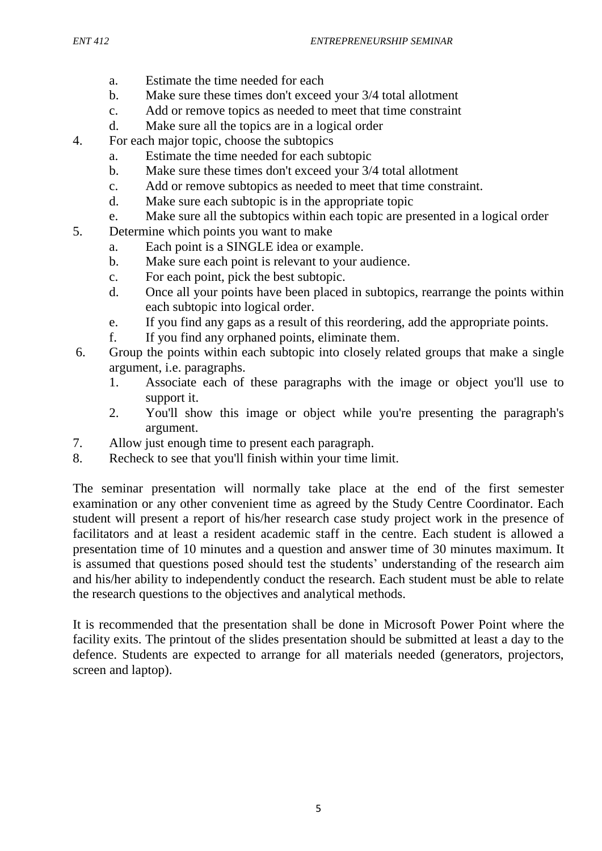- a. Estimate the time needed for each
- b. Make sure these times don't exceed your 3/4 total allotment
- c. Add or remove topics as needed to meet that time constraint
- d. Make sure all the topics are in a logical order
- 4. For each major topic, choose the subtopics
	- a. Estimate the time needed for each subtopic
	- b. Make sure these times don't exceed your 3/4 total allotment
	- c. Add or remove subtopics as needed to meet that time constraint.
	- d. Make sure each subtopic is in the appropriate topic
	- e. Make sure all the subtopics within each topic are presented in a logical order
- 5. Determine which points you want to make
	- a. Each point is a SINGLE idea or example.
	- b. Make sure each point is relevant to your audience.
	- c. For each point, pick the best subtopic.
	- d. Once all your points have been placed in subtopics, rearrange the points within each subtopic into logical order.
	- e. If you find any gaps as a result of this reordering, add the appropriate points.
	- f. If you find any orphaned points, eliminate them.
- 6. Group the points within each subtopic into closely related groups that make a single argument, i.e. paragraphs.
	- 1. Associate each of these paragraphs with the image or object you'll use to support it.
	- 2. You'll show this image or object while you're presenting the paragraph's argument.
- 7. Allow just enough time to present each paragraph.
- 8. Recheck to see that you'll finish within your time limit.

The seminar presentation will normally take place at the end of the first semester examination or any other convenient time as agreed by the Study Centre Coordinator. Each student will present a report of his/her research case study project work in the presence of facilitators and at least a resident academic staff in the centre. Each student is allowed a presentation time of 10 minutes and a question and answer time of 30 minutes maximum. It is assumed that questions posed should test the students' understanding of the research aim and his/her ability to independently conduct the research. Each student must be able to relate the research questions to the objectives and analytical methods.

It is recommended that the presentation shall be done in Microsoft Power Point where the facility exits. The printout of the slides presentation should be submitted at least a day to the defence. Students are expected to arrange for all materials needed (generators, projectors, screen and laptop).